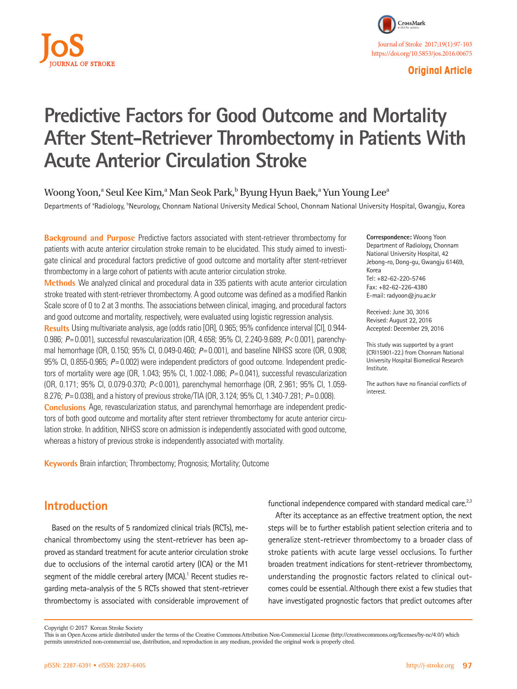

### **Original Article**

# **Predictive Factors for Good Outcome and Mortality After Stent-Retriever Thrombectomy in Patients With Acute Anterior Circulation Stroke**

Woong Yoon, $\mathrm{a}\,$  Seul Kee Kim, $\mathrm{a}\,$  Man Seok Park, $\mathrm{b}\,$  Byung Hyun Baek, $\mathrm{a}\,$  Yun Young Lee $\mathrm{a}\,$ 

Departments of <sup>a</sup>Radiology, <sup>b</sup>Neurology, Chonnam National University Medical School, Chonnam National University Hospital, Gwangju, Korea

**Background and Purpose** Predictive factors associated with stent-retriever thrombectomy for patients with acute anterior circulation stroke remain to be elucidated. This study aimed to investigate clinical and procedural factors predictive of good outcome and mortality after stent-retriever thrombectomy in a large cohort of patients with acute anterior circulation stroke.

**Methods** We analyzed clinical and procedural data in 335 patients with acute anterior circulation stroke treated with stent-retriever thrombectomy. A good outcome was defined as a modified Rankin Scale score of 0 to 2 at 3 months. The associations between clinical, imaging, and procedural factors and good outcome and mortality, respectively, were evaluated using logistic regression analysis. **Results** Using multivariate analysis, age (odds ratio [OR], 0.965; 95% confidence interval [CI], 0.944- 0.986; *P*= 0.001), successful revascularization (OR, 4.658; 95% CI, 2.240-9.689; *P*< 0.001), parenchymal hemorrhage (OR, 0.150; 95% CI, 0.049-0.460; *P*= 0.001), and baseline NIHSS score (OR, 0.908; 95% CI, 0.855-0.965; *P*= 0.002) were independent predictors of good outcome. Independent predictors of mortality were age (OR, 1.043; 95% CI, 1.002-1.086; *P*= 0.041), successful revascularization (OR, 0.171; 95% CI, 0.079-0.370; *P*< 0.001), parenchymal hemorrhage (OR, 2.961; 95% CI, 1.059- 8.276; *P*= 0.038), and a history of previous stroke/TIA (OR, 3.124; 95% CI, 1.340-7.281; *P*= 0.008). **Conclusions** Age, revascularization status, and parenchymal hemorrhage are independent predictors of both good outcome and mortality after stent retriever thrombectomy for acute anterior circulation stroke. In addition, NIHSS score on admission is independently associated with good outcome, whereas a history of previous stroke is independently associated with mortality.

**Keywords** Brain infarction; Thrombectomy; Prognosis; Mortality; Outcome

**Correspondence:** Woong Yoon Department of Radiology, Chonnam National University Hospital, 42 Jebong-ro, Dong-gu, Gwangju 61469, Korea Tel: +82-62-220-5746 Fax: +82-62-226-4380 E-mail: radyoon@jnu.ac.kr

Received: June 30, 3016 Revised: August 22, 2016 Accepted: December 29, 2016

This study was supported by a grant (CRI15901-22.) from Chonnam National University Hospital Biomedical Research Institute.

The authors have no financial conflicts of interest.

## **Introduction**

Based on the results of 5 randomized clinical trials (RCTs), mechanical thrombectomy using the stent-retriever has been approved as standard treatment for acute anterior circulation stroke due to occlusions of the internal carotid artery (ICA) or the M1 segment of the middle cerebral artery (MCA).<sup>1</sup> Recent studies regarding meta-analysis of the 5 RCTs showed that stent-retriever thrombectomy is associated with considerable improvement of functional independence compared with standard medical care. $2,3$ 

After its acceptance as an effective treatment option, the next steps will be to further establish patient selection criteria and to generalize stent-retriever thrombectomy to a broader class of stroke patients with acute large vessel occlusions. To further broaden treatment indications for stent-retriever thrombectomy, understanding the prognostic factors related to clinical outcomes could be essential. Although there exist a few studies that have investigated prognostic factors that predict outcomes after

Copyright © 2017 Korean Stroke Society

This is an Open Access article distributed under the terms of the Creative Commons Attribution Non-Commercial License (http://creativecommons.org/licenses/by-nc/4.0/) which permits unrestricted non-commercial use, distribution, and reproduction in any medium, provided the original work is properly cited.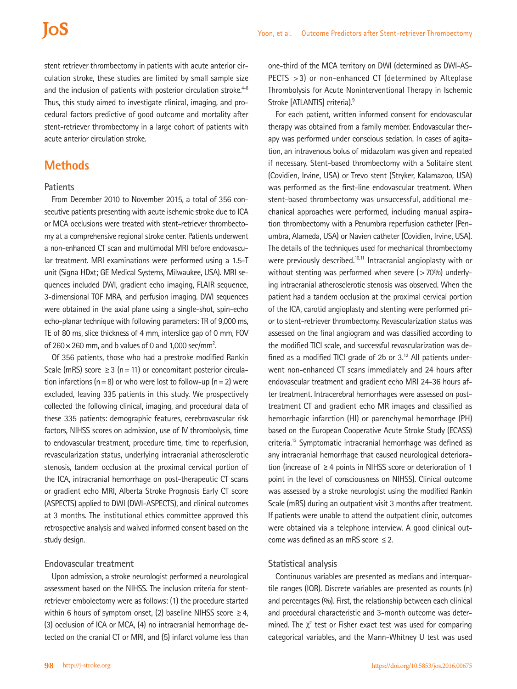## **IoS**

stent retriever thrombectomy in patients with acute anterior circulation stroke, these studies are limited by small sample size and the inclusion of patients with posterior circulation stroke.<sup>4-8</sup> Thus, this study aimed to investigate clinical, imaging, and procedural factors predictive of good outcome and mortality after stent-retriever thrombectomy in a large cohort of patients with acute anterior circulation stroke.

## **Methods**

#### **Patients**

From December 2010 to November 2015, a total of 356 consecutive patients presenting with acute ischemic stroke due to ICA or MCA occlusions were treated with stent-retriever thrombectomy at a comprehensive regional stroke center. Patients underwent a non-enhanced CT scan and multimodal MRI before endovascular treatment. MRI examinations were performed using a 1.5-T unit (Signa HDxt; GE Medical Systems, Milwaukee, USA). MRI sequences included DWI, gradient echo imaging, FLAIR sequence, 3-dimensional TOF MRA, and perfusion imaging. DWI sequences were obtained in the axial plane using a single-shot, spin-echo echo-planar technique with following parameters: TR of 9,000 ms, TE of 80 ms, slice thickness of 4 mm, interslice gap of 0 mm, FOV of  $260 \times 260$  mm, and b values of 0 and 1,000 sec/mm<sup>2</sup>.

Of 356 patients, those who had a prestroke modified Rankin Scale (mRS) score  $\geq$  3 (n = 11) or concomitant posterior circulation infarctions ( $n=8$ ) or who were lost to follow-up ( $n=2$ ) were excluded, leaving 335 patients in this study. We prospectively collected the following clinical, imaging, and procedural data of these 335 patients: demographic features, cerebrovascular risk factors, NIHSS scores on admission, use of IV thrombolysis, time to endovascular treatment, procedure time, time to reperfusion, revascularization status, underlying intracranial atherosclerotic stenosis, tandem occlusion at the proximal cervical portion of the ICA, intracranial hemorrhage on post-therapeutic CT scans or gradient echo MRI, Alberta Stroke Prognosis Early CT score (ASPECTS) applied to DWI (DWI-ASPECTS), and clinical outcomes at 3 months. The institutional ethics committee approved this retrospective analysis and waived informed consent based on the study design.

#### **Endovascular treatment**

Upon admission, a stroke neurologist performed a neurological assessment based on the NIHSS. The inclusion criteria for stentretriever embolectomy were as follows: (1) the procedure started within 6 hours of symptom onset, (2) baseline NIHSS score  $\geq 4$ , (3) occlusion of ICA or MCA, (4) no intracranial hemorrhage detected on the cranial CT or MRI, and (5) infarct volume less than

one-third of the MCA territory on DWI (determined as DWI-AS-PECTS >3) or non-enhanced CT (determined by Alteplase Thrombolysis for Acute Noninterventional Therapy in Ischemic Stroke [ATLANTIS] criteria).<sup>9</sup>

For each patient, written informed consent for endovascular therapy was obtained from a family member. Endovascular therapy was performed under conscious sedation. In cases of agitation, an intravenous bolus of midazolam was given and repeated if necessary. Stent-based thrombectomy with a Solitaire stent (Covidien, Irvine, USA) or Trevo stent (Stryker, Kalamazoo, USA) was performed as the first-line endovascular treatment. When stent-based thrombectomy was unsuccessful, additional mechanical approaches were performed, including manual aspiration thrombectomy with a Penumbra reperfusion catheter (Penumbra, Alameda, USA) or Navien catheter (Covidien, Irvine, USA). The details of the techniques used for mechanical thrombectomy were previously described.<sup>10,11</sup> Intracranial angioplasty with or without stenting was performed when severe (>70%) underlying intracranial atherosclerotic stenosis was observed. When the patient had a tandem occlusion at the proximal cervical portion of the ICA, carotid angioplasty and stenting were performed prior to stent-retriever thrombectomy. Revascularization status was assessed on the final angiogram and was classified according to the modified TICI scale, and successful revascularization was defined as a modified TICI grade of 2b or  $3<sup>12</sup>$  All patients underwent non-enhanced CT scans immediately and 24 hours after endovascular treatment and gradient echo MRI 24-36 hours after treatment. Intracerebral hemorrhages were assessed on posttreatment CT and gradient echo MR images and classified as hemorrhagic infarction (HI) or parenchymal hemorrhage (PH) based on the European Cooperative Acute Stroke Study (ECASS) criteria.13 Symptomatic intracranial hemorrhage was defined as any intracranial hemorrhage that caused neurological deterioration (increase of ≥4 points in NIHSS score or deterioration of 1 point in the level of consciousness on NIHSS). Clinical outcome was assessed by a stroke neurologist using the modified Rankin Scale (mRS) during an outpatient visit 3 months after treatment. If patients were unable to attend the outpatient clinic, outcomes were obtained via a telephone interview. A good clinical outcome was defined as an mRS score  $\leq$  2.

#### **Statistical analysis**

Continuous variables are presented as medians and interquartile ranges (IQR). Discrete variables are presented as counts (n) and percentages (%). First, the relationship between each clinical and procedural characteristic and 3-month outcome was determined. The  $\chi^2$  test or Fisher exact test was used for comparing categorical variables, and the Mann-Whitney U test was used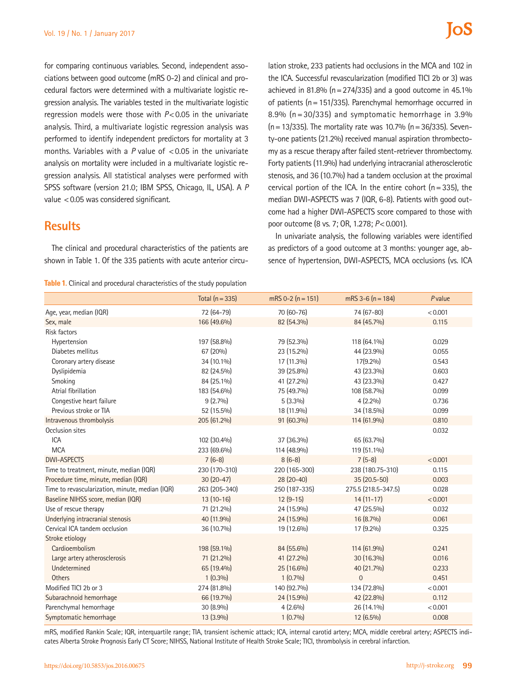for comparing continuous variables. Second, independent associations between good outcome (mRS 0-2) and clinical and procedural factors were determined with a multivariate logistic regression analysis. The variables tested in the multivariate logistic regression models were those with *P*<0.05 in the univariate analysis. Third, a multivariate logistic regression analysis was performed to identify independent predictors for mortality at 3 months. Variables with a *P* value of <0.05 in the univariate analysis on mortality were included in a multivariate logistic regression analysis. All statistical analyses were performed with SPSS software (version 21.0; IBM SPSS, Chicago, IL, USA). A *P* value <0.05 was considered significant.

## **Results**

The clinical and procedural characteristics of the patients are shown in Table 1. Of the 335 patients with acute anterior circu-

#### **Table 1.** Clinical and procedural characteristics of the study population

lation stroke, 233 patients had occlusions in the MCA and 102 in the ICA. Successful revascularization (modified TICI 2b or 3) was achieved in 81.8% ( $n=274/335$ ) and a good outcome in 45.1% of patients (n=151/335). Parenchymal hemorrhage occurred in 8.9% ( $n = 30/335$ ) and symptomatic hemorrhage in 3.9%  $(n=13/335)$ . The mortality rate was 10.7%  $(n=36/335)$ . Seventy-one patients (21.2%) received manual aspiration thrombectomy as a rescue therapy after failed stent-retriever thrombectomy. Forty patients (11.9%) had underlying intracranial atherosclerotic stenosis, and 36 (10.7%) had a tandem occlusion at the proximal cervical portion of the ICA. In the entire cohort  $(n=335)$ , the median DWI-ASPECTS was 7 (IQR, 6-8). Patients with good outcome had a higher DWI-ASPECTS score compared to those with poor outcome (8 vs. 7; OR, 1.278; *P*<0.001).

In univariate analysis, the following variables were identified as predictors of a good outcome at 3 months: younger age, absence of hypertension, DWI-ASPECTS, MCA occlusions (vs. ICA

|                                                 | Total $(n = 335)$ | $mRS 0-2 (n = 151)$ | $mRS$ 3-6 (n = 184) | Pvalue  |
|-------------------------------------------------|-------------------|---------------------|---------------------|---------|
| Age, year, median (IQR)                         | 72 (64-79)        | 70 (60-76)          | 74 (67-80)          | < 0.001 |
| Sex, male                                       | 166 (49.6%)       | 82 (54.3%)          | 84 (45.7%)          | 0.115   |
| <b>Risk factors</b>                             |                   |                     |                     |         |
| Hypertension                                    | 197 (58.8%)       | 79 (52.3%)          | 118 (64.1%)         | 0.029   |
| Diabetes mellitus                               | 67 (20%)          | 23 (15.2%)          | 44 (23.9%)          | 0.055   |
| Coronary artery disease                         | 34 (10.1%)        | 17 (11.3%)          | 17(9.2%)            | 0.543   |
| Dyslipidemia                                    | 82 (24.5%)        | 39 (25.8%)          | 43 (23.3%)          | 0.603   |
| Smoking                                         | 84 (25.1%)        | 41 (27.2%)          | 43 (23.3%)          | 0.427   |
| Atrial fibrillation                             | 183 (54.6%)       | 75 (49.7%)          | 108 (58.7%)         | 0.099   |
| Congestive heart failure                        | $9(2.7\%)$        | $5(3.3\%)$          | $4(2.2\%)$          | 0.736   |
| Previous stroke or TIA                          | 52 (15.5%)        | 18 (11.9%)          | 34 (18.5%)          | 0.099   |
| Intravenous thrombolysis                        | 205 (61.2%)       | 91 (60.3%)          | 114 (61.9%)         | 0.810   |
| Occlusion sites                                 |                   |                     |                     | 0.032   |
| <b>ICA</b>                                      | 102 (30.4%)       | 37 (36.3%)          | 65 (63.7%)          |         |
| <b>MCA</b>                                      | 233 (69.6%)       | 114 (48.9%)         | 119 (51.1%)         |         |
| <b>DWI-ASPECTS</b>                              | $7(6-8)$          | $8(6-8)$            | $7(5-8)$            | < 0.001 |
| Time to treatment, minute, median (IQR)         | 230 (170-310)     | 220 (165-300)       | 238 (180.75-310)    | 0.115   |
| Procedure time, minute, median (IQR)            | $30(20-47)$       | $28(20-40)$         | 35 (20.5-50)        | 0.003   |
| Time to revascularization, minute, median (IQR) | 263 (205-340)     | 250 (187-335)       | 275.5 (218.5-347.5) | 0.028   |
| Baseline NIHSS score, median (IQR)              | $13(10-16)$       | $12(9-15)$          | $14(11-17)$         | < 0.001 |
| Use of rescue therapy                           | 71 (21.2%)        | 24 (15.9%)          | 47 (25.5%)          | 0.032   |
| Underlying intracranial stenosis                | 40 (11.9%)        | 24 (15.9%)          | 16 (8.7%)           | 0.061   |
| Cervical ICA tandem occlusion                   | 36 (10.7%)        | 19 (12.6%)          | 17 (9.2%)           | 0.325   |
| Stroke etiology                                 |                   |                     |                     |         |
| Cardioembolism                                  | 198 (59.1%)       | 84 (55.6%)          | 114 (61.9%)         | 0.241   |
| Large artery atherosclerosis                    | 71 (21.2%)        | 41 (27.2%)          | 30 (16.3%)          | 0.016   |
| Undetermined                                    | 65 (19.4%)        | 25 (16.6%)          | 40 (21.7%)          | 0.233   |
| <b>Others</b>                                   | $1(0.3\%)$        | $1(0.7\%)$          | $\mathbf 0$         | 0.451   |
| Modified TICI 2b or 3                           | 274 (81.8%)       | 140 (92.7%)         | 134 (72.8%)         | < 0.001 |
| Subarachnoid hemorrhage                         | 66 (19.7%)        | 24 (15.9%)          | 42 (22.8%)          | 0.112   |
| Parenchymal hemorrhage                          | 30 (8.9%)         | $4(2.6\%)$          | 26 (14.1%)          | < 0.001 |
| Symptomatic hemorrhage                          | 13 (3.9%)         | $1(0.7\%)$          | 12 (6.5%)           | 0.008   |

mRS, modified Rankin Scale; IQR, interquartile range; TIA, transient ischemic attack; ICA, internal carotid artery; MCA, middle cerebral artery; ASPECTS indicates Alberta Stroke Prognosis Early CT Score; NIHSS, National Institute of Health Stroke Scale; TICI, thrombolysis in cerebral infarction.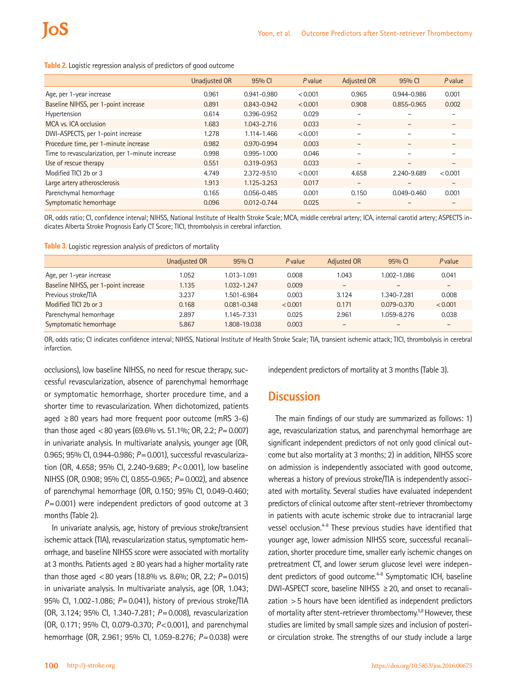**Table 2.** Logistic regression analysis of predictors of good outcome

|                                                  | Unadjusted OR | 95% CI          | Pyalue  | <b>Adjusted OR</b>       | 95% CI                   | Pvalue            |
|--------------------------------------------------|---------------|-----------------|---------|--------------------------|--------------------------|-------------------|
| Age, per 1-year increase                         | 0.961         | 0.941-0.980     | < 0.001 | 0.965                    | 0.944-0.986              | 0.001             |
| Baseline NIHSS, per 1-point increase             | 0.891         | 0.843-0.942     | < 0.001 | 0.908                    | 0.855-0.965              | 0.002             |
| Hypertension                                     | 0.614         | 0.396-0.952     | 0.029   |                          |                          |                   |
| MCA vs. ICA occlusion                            | 1.683         | 1.043-2.716     | 0.033   | $\overline{\phantom{a}}$ | $\overline{\phantom{0}}$ | -                 |
| DWI-ASPECTS, per 1-point increase                | 1.278         | 1.114-1.466     | < 0.001 |                          |                          |                   |
| Procedure time, per 1-minute increase            | 0.982         | 0.970-0.994     | 0.003   | $\overline{\phantom{a}}$ | $\overline{\phantom{0}}$ | $\qquad \qquad -$ |
| Time to revascularization, per 1-minute increase | 0.998         | 0.995-1.000     | 0.046   |                          |                          |                   |
| Use of rescue therapy                            | 0.551         | 0.319-0.953     | 0.033   |                          |                          |                   |
| Modified TICI 2b or 3                            | 4.749         | 2.372-9.510     | < 0.001 | 4.658                    | 2.240-9.689              | < 0.001           |
| Large artery atherosclerosis                     | 1.913         | 1.125-3.253     | 0.017   | $\qquad \qquad$          |                          | -                 |
| Parenchymal hemorrhage                           | 0.165         | 0.056-0.485     | 0.001   | 0.150                    | 0.049-0.460              | 0.001             |
| Symptomatic hemorrhage                           | 0.096         | $0.012 - 0.744$ | 0.025   |                          |                          |                   |

OR, odds ratio; CI, confidence interval; NIHSS, National Institute of Health Stroke Scale; MCA, middle cerebral artery; ICA, internal carotid artery; ASPECTS indicates Alberta Stroke Prognosis Early CT Score; TICI, thrombolysis in cerebral infarction.

**Table 3.** Logistic regression analysis of predictors of mortality

|                                      | Unadjusted OR | 95% CI          | Pvalue  | Adjusted OR              | 95% CI          | Pvalue  |
|--------------------------------------|---------------|-----------------|---------|--------------------------|-----------------|---------|
| Age, per 1-year increase             | 1.052         | 1.013-1.091     | 0.008   | 1.043                    | 1.002-1.086     | 0.041   |
| Baseline NIHSS, per 1-point increase | 1.135         | 1.032-1.247     | 0.009   |                          | $\qquad \qquad$ |         |
| Previous stroke/TIA                  | 3.237         | 1.501-6.984     | 0.003   | 3.124                    | 1.340-7.281     | 0.008   |
| Modified TICI 2b or 3                | 0.168         | $0.081 - 0.348$ | < 0.001 | 0.171                    | $0.079 - 0.370$ | < 0.001 |
| Parenchymal hemorrhage               | 2.897         | 1.145-7.331     | 0.025   | 2.961                    | 1.059-8.276     | 0.038   |
| Symptomatic hemorrhage               | 5.867         | 1.808-19.038    | 0.003   | $\overline{\phantom{m}}$ |                 |         |

OR, odds ratio; CI indicates confidence interval; NIHSS, National Institute of Health Stroke Scale; TIA, transient ischemic attack; TICI, thrombolysis in cerebral infarction.

occlusions), low baseline NIHSS, no need for rescue therapy, successful revascularization, absence of parenchymal hemorrhage or symptomatic hemorrhage, shorter procedure time, and a shorter time to revascularization. When dichotomized, patients aged ≥80 years had more frequent poor outcome (mRS 3-6) than those aged <80 years (69.6% vs. 51.1%; OR, 2.2; *P*=0.007) in univariate analysis. In multivariate analysis, younger age (OR, 0.965; 95% CI, 0.944-0.986; *P*=0.001), successful revascularization (OR, 4.658; 95% CI, 2.240-9.689; *P*<0.001), low baseline NIHSS (OR, 0.908; 95% CI, 0.855-0.965; *P*=0.002), and absence of parenchymal hemorrhage (OR, 0.150; 95% CI, 0.049-0.460; *P*=0.001) were independent predictors of good outcome at 3 months (Table 2).

In univariate analysis, age, history of previous stroke/transient ischemic attack (TIA), revascularization status, symptomatic hemorrhage, and baseline NIHSS score were associated with mortality at 3 months. Patients aged  $\geq 80$  years had a higher mortality rate than those aged <80 years (18.8% vs. 8.6%; OR, 2.2; *P*=0.015) in univariate analysis. In multivariate analysis, age (OR, 1.043; 95% CI, 1.002-1.086; *P*=0.041), history of previous stroke/TIA (OR, 3.124; 95% CI, 1.340-7.281; *P*=0.008), revascularization (OR, 0.171; 95% CI, 0.079-0.370; *P*<0.001), and parenchymal hemorrhage (OR, 2.961; 95% CI, 1.059-8.276; *P*=0.038) were

independent predictors of mortality at 3 months (Table 3).

### **Discussion**

The main findings of our study are summarized as follows: 1) age, revascularization status, and parenchymal hemorrhage are significant independent predictors of not only good clinical outcome but also mortality at 3 months; 2) in addition, NIHSS score on admission is independently associated with good outcome, whereas a history of previous stroke/TIA is independently associated with mortality. Several studies have evaluated independent predictors of clinical outcome after stent-retriever thrombectomy in patients with acute ischemic stroke due to intracranial large vessel occlusion.4-8 These previous studies have identified that younger age, lower admission NIHSS score, successful recanalization, shorter procedure time, smaller early ischemic changes on pretreatment CT, and lower serum glucose level were independent predictors of good outcome.<sup>4-8</sup> Symptomatic ICH, baseline DWI-ASPECT score, baseline NIHSS  $\geq$  20, and onset to recanalization >5 hours have been identified as independent predictors of mortality after stent-retriever thrombectomy.<sup>5,8</sup> However, these studies are limited by small sample sizes and inclusion of posterior circulation stroke. The strengths of our study include a large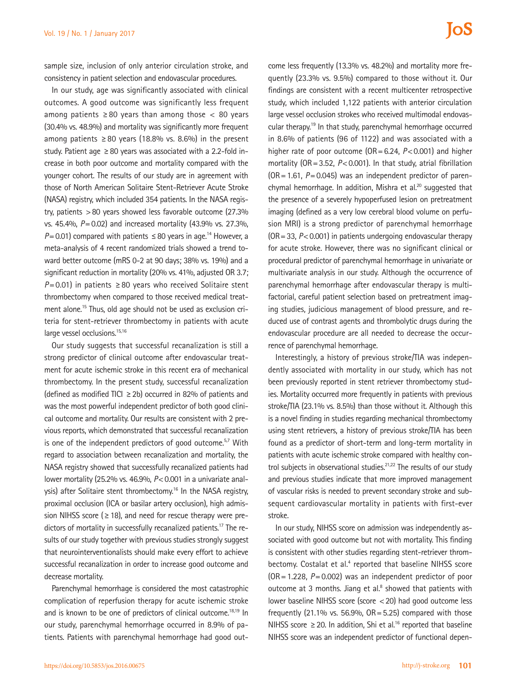sample size, inclusion of only anterior circulation stroke, and consistency in patient selection and endovascular procedures.

In our study, age was significantly associated with clinical outcomes. A good outcome was significantly less frequent among patients  $\geq 80$  years than among those  $\lt 80$  years (30.4% vs. 48.9%) and mortality was significantly more frequent among patients  $\geq 80$  years (18.8% vs. 8.6%) in the present study. Patient age  $\geq 80$  years was associated with a 2.2-fold increase in both poor outcome and mortality compared with the younger cohort. The results of our study are in agreement with those of North American Solitaire Stent-Retriever Acute Stroke (NASA) registry, which included 354 patients. In the NASA registry, patients >80 years showed less favorable outcome (27.3% vs. 45.4%, *P*=0.02) and increased mortality (43.9% vs. 27.3%,  $P$ =0.01) compared with patients  $\leq$  80 years in age.<sup>14</sup> However, a meta-analysis of 4 recent randomized trials showed a trend toward better outcome (mRS 0-2 at 90 days; 38% vs. 19%) and a significant reduction in mortality (20% vs. 41%, adjusted OR 3.7;  $P=0.01$ ) in patients  $\geq 80$  years who received Solitaire stent thrombectomy when compared to those received medical treatment alone.15 Thus, old age should not be used as exclusion criteria for stent-retriever thrombectomy in patients with acute large vessel occlusions.<sup>15,16</sup>

Our study suggests that successful recanalization is still a strong predictor of clinical outcome after endovascular treatment for acute ischemic stroke in this recent era of mechanical thrombectomy. In the present study, successful recanalization (defined as modified TICI  $\geq$  2b) occurred in 82% of patients and was the most powerful independent predictor of both good clinical outcome and mortality. Our results are consistent with 2 previous reports, which demonstrated that successful recanalization is one of the independent predictors of good outcome. $57$  With regard to association between recanalization and mortality, the NASA registry showed that successfully recanalized patients had lower mortality (25.2% vs. 46.9%, *P*<0.001 in a univariate analysis) after Solitaire stent thrombectomy.<sup>16</sup> In the NASA registry, proximal occlusion (ICA or basilar artery occlusion), high admission NIHSS score ( $\geq$  18), and need for rescue therapy were predictors of mortality in successfully recanalized patients.<sup>17</sup> The results of our study together with previous studies strongly suggest that neurointerventionalists should make every effort to achieve successful recanalization in order to increase good outcome and decrease mortality.

Parenchymal hemorrhage is considered the most catastrophic complication of reperfusion therapy for acute ischemic stroke and is known to be one of predictors of clinical outcome.<sup>18,19</sup> In our study, parenchymal hemorrhage occurred in 8.9% of patients. Patients with parenchymal hemorrhage had good outcome less frequently (13.3% vs. 48.2%) and mortality more frequently (23.3% vs. 9.5%) compared to those without it. Our findings are consistent with a recent multicenter retrospective study, which included 1,122 patients with anterior circulation large vessel occlusion strokes who received multimodal endovascular therapy.19 In that study, parenchymal hemorrhage occurred in 8.6% of patients (96 of 1122) and was associated with a higher rate of poor outcome (OR=6.24, *P*<0.001) and higher mortality (OR=3.52, *P*<0.001). In that study, atrial fibrillation (OR=1.61, *P*=0.045) was an independent predictor of parenchymal hemorrhage. In addition, Mishra et al.<sup>20</sup> suggested that the presence of a severely hypoperfused lesion on pretreatment imaging (defined as a very low cerebral blood volume on perfusion MRI) is a strong predictor of parenchymal hemorrhage (OR=33, *P*<0.001) in patients undergoing endovascular therapy for acute stroke. However, there was no significant clinical or procedural predictor of parenchymal hemorrhage in univariate or multivariate analysis in our study. Although the occurrence of parenchymal hemorrhage after endovascular therapy is multifactorial, careful patient selection based on pretreatment imaging studies, judicious management of blood pressure, and reduced use of contrast agents and thrombolytic drugs during the endovascular procedure are all needed to decrease the occurrence of parenchymal hemorrhage.

Interestingly, a history of previous stroke/TIA was independently associated with mortality in our study, which has not been previously reported in stent retriever thrombectomy studies. Mortality occurred more frequently in patients with previous stroke/TIA (23.1% vs. 8.5%) than those without it. Although this is a novel finding in studies regarding mechanical thrombectomy using stent retrievers, a history of previous stroke/TIA has been found as a predictor of short-term and long-term mortality in patients with acute ischemic stroke compared with healthy control subjects in observational studies.<sup>21,22</sup> The results of our study and previous studies indicate that more improved management of vascular risks is needed to prevent secondary stroke and subsequent cardiovascular mortality in patients with first-ever stroke.

In our study, NIHSS score on admission was independently associated with good outcome but not with mortality. This finding is consistent with other studies regarding stent-retriever thrombectomy. Costalat et al.<sup>4</sup> reported that baseline NIHSS score (OR=1.228, *P*=0.002) was an independent predictor of poor outcome at 3 months. Jiang et al. $8$  showed that patients with lower baseline NIHSS score (score <20) had good outcome less frequently  $(21.1\% \text{ vs. } 56.9\% \text{ or } OR = 5.25)$  compared with those NIHSS score ≥20. In addition, Shi et al.<sup>16</sup> reported that baseline NIHSS score was an independent predictor of functional depen-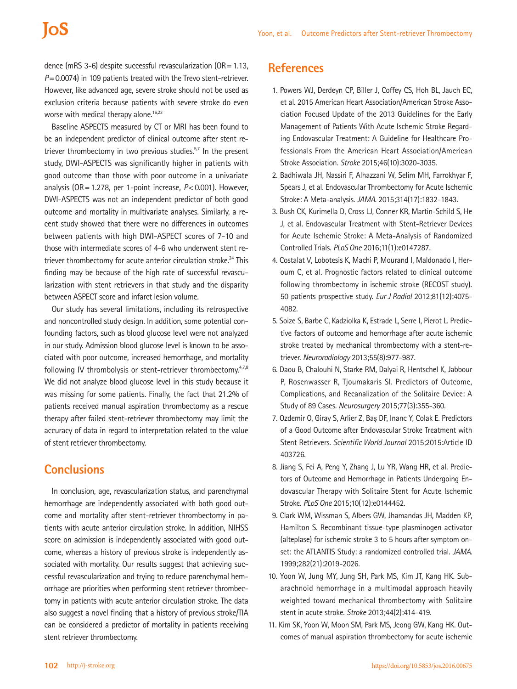dence (mRS 3-6) despite successful revascularization (OR=1.13, *P*=0.0074) in 109 patients treated with the Trevo stent-retriever. However, like advanced age, severe stroke should not be used as exclusion criteria because patients with severe stroke do even worse with medical therapy alone.<sup>16,23</sup>

Baseline ASPECTS measured by CT or MRI has been found to be an independent predictor of clinical outcome after stent retriever thrombectomy in two previous studies. $57$  In the present study, DWI-ASPECTS was significantly higher in patients with good outcome than those with poor outcome in a univariate analysis (OR=1.278, per 1-point increase, *P*<0.001). However, DWI-ASPECTS was not an independent predictor of both good outcome and mortality in multivariate analyses. Similarly, a recent study showed that there were no differences in outcomes between patients with high DWI-ASPECT scores of 7-10 and those with intermediate scores of 4-6 who underwent stent retriever thrombectomy for acute anterior circulation stroke.<sup>24</sup> This finding may be because of the high rate of successful revascularization with stent retrievers in that study and the disparity between ASPECT score and infarct lesion volume.

Our study has several limitations, including its retrospective and noncontrolled study design. In addition, some potential confounding factors, such as blood glucose level were not analyzed in our study. Admission blood glucose level is known to be associated with poor outcome, increased hemorrhage, and mortality following IV thrombolysis or stent-retriever thrombectomy. $47,8$ We did not analyze blood glucose level in this study because it was missing for some patients. Finally, the fact that 21.2% of patients received manual aspiration thrombectomy as a rescue therapy after failed stent-retriever thrombectomy may limit the accuracy of data in regard to interpretation related to the value of stent retriever thrombectomy.

## **Conclusions**

In conclusion, age, revascularization status, and parenchymal hemorrhage are independently associated with both good outcome and mortality after stent-retriever thrombectomy in patients with acute anterior circulation stroke. In addition, NIHSS score on admission is independently associated with good outcome, whereas a history of previous stroke is independently associated with mortality. Our results suggest that achieving successful revascularization and trying to reduce parenchymal hemorrhage are priorities when performing stent retriever thrombectomy in patients with acute anterior circulation stroke. The data also suggest a novel finding that a history of previous stroke/TIA can be considered a predictor of mortality in patients receiving stent retriever thrombectomy.

## **References**

- 1. Powers WJ, Derdeyn CP, Biller J, Coffey CS, Hoh BL, Jauch EC, et al. 2015 American Heart Association/American Stroke Association Focused Update of the 2013 Guidelines for the Early Management of Patients With Acute Ischemic Stroke Regarding Endovascular Treatment: A Guideline for Healthcare Professionals From the American Heart Association/American Stroke Association. *Stroke* 2015;46(10):3020-3035.
- 2. Badhiwala JH, Nassiri F, Alhazzani W, Selim MH, Farrokhyar F, Spears J, et al. Endovascular Thrombectomy for Acute Ischemic Stroke: A Meta-analysis. *JAMA*. 2015;314(17):1832-1843.
- 3. Bush CK, Kurimella D, Cross LJ, Conner KR, Martin-Schild S, He J, et al. Endovascular Treatment with Stent-Retriever Devices for Acute Ischemic Stroke: A Meta-Analysis of Randomized Controlled Trials. *PLoS One* 2016;11(1):e0147287.
- 4. Costalat V, Lobotesis K, Machi P, Mourand I, Maldonado I, Heroum C, et al. Prognostic factors related to clinical outcome following thrombectomy in ischemic stroke (RECOST study). 50 patients prospective study. *Eur J Radiol* 2012;81(12):4075- 4082.
- 5. Soize S, Barbe C, Kadziolka K, Estrade L, Serre I, Pierot L. Predictive factors of outcome and hemorrhage after acute ischemic stroke treated by mechanical thrombectomy with a stent-retriever. *Neuroradiology* 2013;55(8):977-987.
- 6. Daou B, Chalouhi N, Starke RM, Dalyai R, Hentschel K, Jabbour P, Rosenwasser R, Tjoumakaris SI. Predictors of Outcome, Complications, and Recanalization of the Solitaire Device: A Study of 89 Cases. *Neurosurgery* 2015;77(3):355-360.
- 7. Ozdemir O, Giray S, Arlier Z, Baş DF, Inanc Y, Colak E. Predictors of a Good Outcome after Endovascular Stroke Treatment with Stent Retrievers. *Scientific World Journal* 2015;2015:Article ID 403726.
- 8. Jiang S, Fei A, Peng Y, Zhang J, Lu YR, Wang HR, et al. Predictors of Outcome and Hemorrhage in Patients Undergoing Endovascular Therapy with Solitaire Stent for Acute Ischemic Stroke. *PLoS One* 2015;10(12):e0144452.
- 9. Clark WM, Wissman S, Albers GW, Jhamandas JH, Madden KP, Hamilton S. Recombinant tissue-type plasminogen activator (alteplase) for ischemic stroke 3 to 5 hours after symptom onset: the ATLANTIS Study: a randomized controlled trial. *JAMA*. 1999;282(21):2019-2026.
- 10. Yoon W, Jung MY, Jung SH, Park MS, Kim JT, Kang HK. Subarachnoid hemorrhage in a multimodal approach heavily weighted toward mechanical thrombectomy with Solitaire stent in acute stroke. *Stroke* 2013;44(2):414-419.
- 11. Kim SK, Yoon W, Moon SM, Park MS, Jeong GW, Kang HK. Outcomes of manual aspiration thrombectomy for acute ischemic